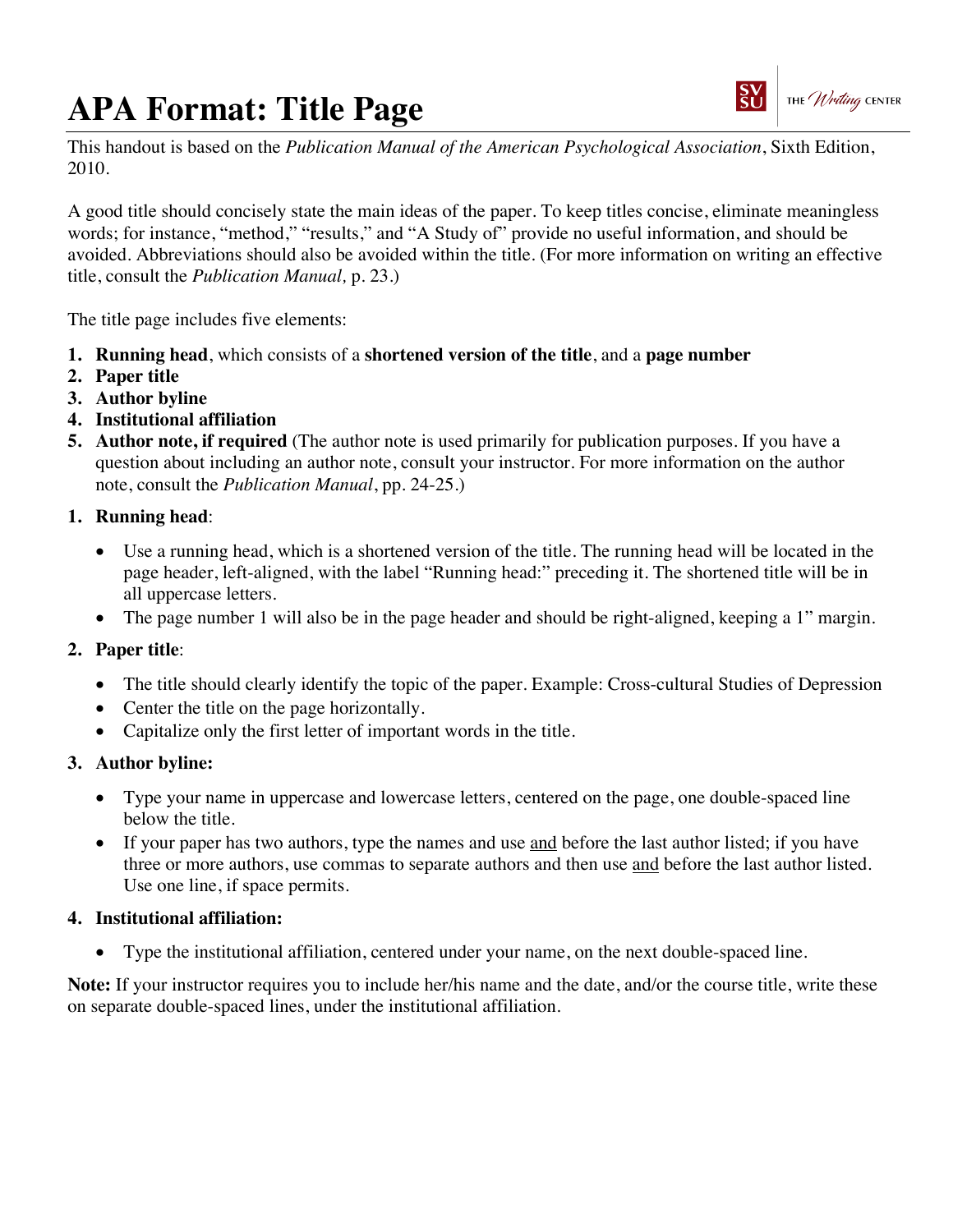# **APA Format: Title Page**



This handout is based on the *Publication Manual of the American Psychological Association*, Sixth Edition, 2010.

A good title should concisely state the main ideas of the paper. To keep titles concise, eliminate meaningless words; for instance, "method," "results," and "A Study of" provide no useful information, and should be avoided. Abbreviations should also be avoided within the title. (For more information on writing an effective title, consult the *Publication Manual,* p. 23.)

The title page includes five elements:

- **1. Running head**, which consists of a **shortened version of the title**, and a **page number**
- **2. Paper title**
- **3. Author byline**
- **4. Institutional affiliation**
- **5. Author note, if required** (The author note is used primarily for publication purposes. If you have a question about including an author note, consult your instructor. For more information on the author note, consult the *Publication Manual*, pp. 24-25.)

### **1. Running head**:

- Use a running head, which is a shortened version of the title. The running head will be located in the page header, left-aligned, with the label "Running head:" preceding it. The shortened title will be in all uppercase letters.
- The page number 1 will also be in the page header and should be right-aligned, keeping a 1" margin.

#### **2. Paper title**:

- The title should clearly identify the topic of the paper. Example: Cross-cultural Studies of Depression
- Center the title on the page horizontally.
- Capitalize only the first letter of important words in the title.

#### **3. Author byline:**

- Type your name in uppercase and lowercase letters, centered on the page, one double-spaced line below the title.
- If your paper has two authors, type the names and use and before the last author listed; if you have three or more authors, use commas to separate authors and then use and before the last author listed. Use one line, if space permits.

#### **4. Institutional affiliation:**

• Type the institutional affiliation, centered under your name, on the next double-spaced line.

**Note:** If your instructor requires you to include her/his name and the date, and/or the course title, write these on separate double-spaced lines, under the institutional affiliation.